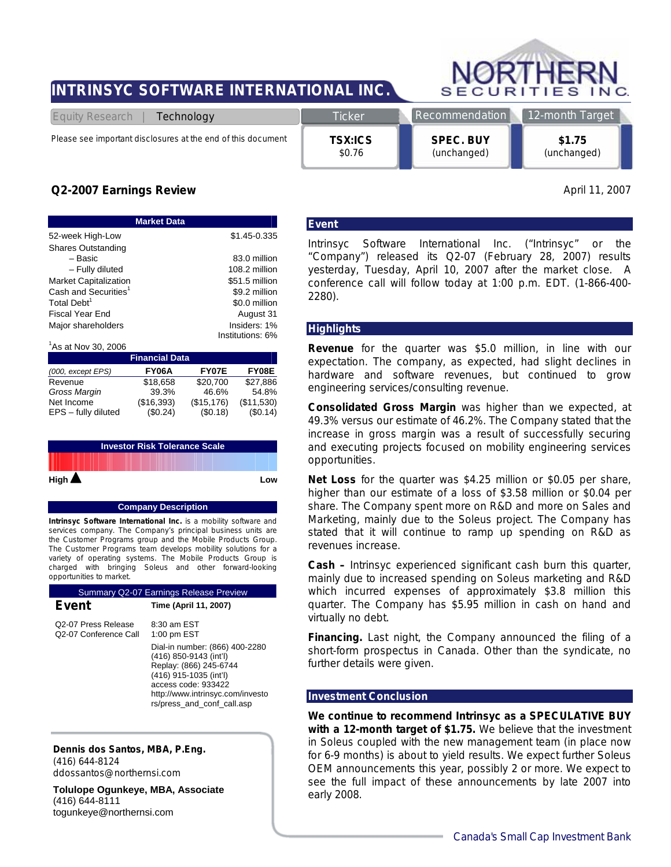# **INTRINSYC SOFTWARE INTERNATIONAL INC.**



*Please see important disclosures at the end of this document* 

**TSX:ICS** 

**SPEC. BUY**  (unchanged)

**\$1.75**  (unchanged)

# *Q2-2007 Earnings Review* April 11, 2007

| <b>Market Data</b>               |                  |  |  |  |
|----------------------------------|------------------|--|--|--|
| 52-week High-Low                 | \$1.45-0.335     |  |  |  |
| <b>Shares Outstanding</b>        |                  |  |  |  |
| - Basic                          | 83.0 million     |  |  |  |
| - Fully diluted                  | 108.2 million    |  |  |  |
| Market Capitalization            | \$51.5 million   |  |  |  |
| Cash and Securities <sup>1</sup> | \$9.2 million    |  |  |  |
| Total Debt <sup>1</sup>          | \$0.0 million    |  |  |  |
| Fiscal Year End                  | August 31        |  |  |  |
| Major shareholders               | Insiders: 1%     |  |  |  |
| $\overline{a}$                   | Institutions: 6% |  |  |  |

| ${}^{1}$ As at Nov 30, 2006 |            |             |            |  |  |
|-----------------------------|------------|-------------|------------|--|--|
| <b>Financial Data</b>       |            |             |            |  |  |
| (000, except EPS)           | FY06A      | FY07E       | FY08E      |  |  |
| Revenue                     | \$18.658   | \$20,700    | \$27.886   |  |  |
| Gross Margin                | 39.3%      | 46.6%       | 54.8%      |  |  |
| Net Income                  | (\$16,393) | (\$15, 176) | (\$11,530) |  |  |
| EPS - fully diluted         | (\$0.24)   | (\$0.18)    | (\$0.14)   |  |  |

|                       | <b>Investor Risk Tolerance Scale</b> |     |
|-----------------------|--------------------------------------|-----|
|                       |                                      |     |
| High $\blacktriangle$ |                                      | Low |

#### **Company Description**

**Intrinsyc Software International Inc.** is a mobility software and services company. The Company's principal business units are the Customer Programs group and the Mobile Products Group. The Customer Programs team develops mobility solutions for a variety of operating systems. The Mobile Products Group is charged with bringing Soleus and other forward-looking opportunities to market.

| <b>Summary Q2-07 Earnings Release Preview</b>             |                                                                                                                                                                                                       |  |  |
|-----------------------------------------------------------|-------------------------------------------------------------------------------------------------------------------------------------------------------------------------------------------------------|--|--|
| Event                                                     | Time (April 11, 2007)                                                                                                                                                                                 |  |  |
| Q2-07 Press Release<br>O <sub>2</sub> -07 Conference Call | $8:30$ am $FST$<br>$1:00$ pm EST                                                                                                                                                                      |  |  |
|                                                           | Dial-in number: (866) 400-2280<br>(416) 850-9143 (int'l)<br>Replay: (866) 245-6744<br>(416) 915-1035 (int'l)<br>access code: 933422<br>http://www.intrinsyc.com/investo<br>rs/press and conf call.asp |  |  |

**Dennis dos Santos, MBA, P.Eng.**  (416) 644-8124 ddossantos@northernsi.com

**Tolulope Ogunkeye, MBA, Associate** (416) 644-8111 togunkeye@northernsi.com

#### **Event**

\$0.76

Intrinsyc Software International Inc. ("Intrinsyc" or the "Company") released its Q2-07 (February 28, 2007) results yesterday, Tuesday, April 10, 2007 after the market close. A conference call will follow today at 1:00 p.m. EDT. (1-866-400- 2280).

#### **Highlights**

**Revenue** for the quarter was \$5.0 million, in line with our expectation. The company, as expected, had slight declines in hardware and software revenues, but continued to grow engineering services/consulting revenue.

**Consolidated Gross Margin** was higher than we expected, at 49.3% versus our estimate of 46.2%. The Company stated that the increase in gross margin was a result of successfully securing and executing projects focused on mobility engineering services opportunities.

**Net Loss** for the quarter was \$4.25 million or \$0.05 per share, higher than our estimate of a loss of \$3.58 million or \$0.04 per share. The Company spent more on R&D and more on Sales and Marketing, mainly due to the *Soleus* project. The Company has stated that it will continue to ramp up spending on R&D as revenues increase.

**Cash –** Intrinsyc experienced significant cash burn this quarter, mainly due to increased spending on *Soleus* marketing and R&D which incurred expenses of approximately \$3.8 million this quarter. The Company has \$5.95 million in cash on hand and virtually no debt.

**Financing.** Last night, the Company announced the filing of a short-form prospectus in Canada. Other than the syndicate, no further details were given.

#### **Investment Conclusion**

**We continue to recommend Intrinsyc as a SPECULATIVE BUY with a 12-month target of \$1.75.** We believe that the investment in *Soleus* coupled with the new management team (in place now for 6-9 months) is about to yield results. We expect further Soleus OEM announcements this year, possibly 2 or more. We expect to see the full impact of these announcements by late 2007 into early 2008.